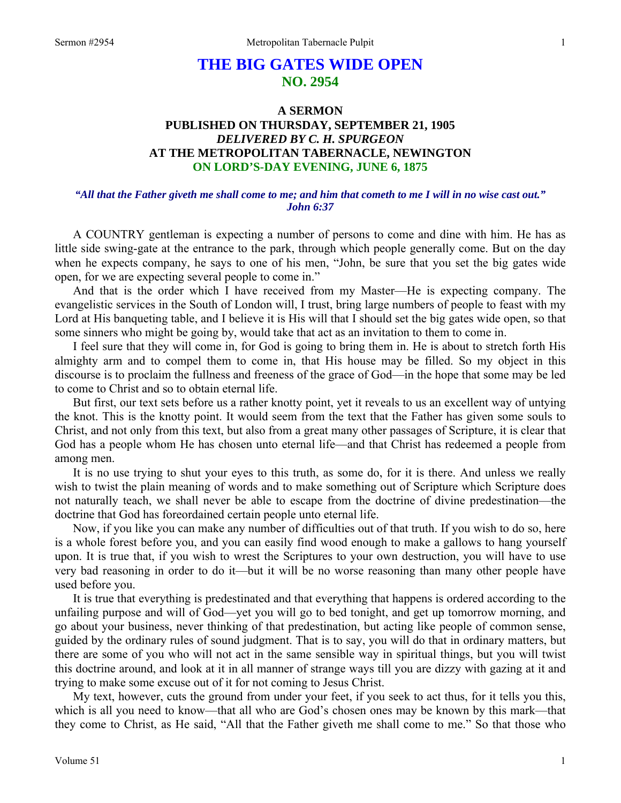# **THE BIG GATES WIDE OPEN NO. 2954**

### **A SERMON PUBLISHED ON THURSDAY, SEPTEMBER 21, 1905**  *DELIVERED BY C. H. SPURGEON*  **AT THE METROPOLITAN TABERNACLE, NEWINGTON ON LORD'S-DAY EVENING, JUNE 6, 1875**

#### *"All that the Father giveth me shall come to me; and him that cometh to me I will in no wise cast out." John 6:37*

A COUNTRY gentleman is expecting a number of persons to come and dine with him. He has as little side swing-gate at the entrance to the park, through which people generally come. But on the day when he expects company, he says to one of his men, "John, be sure that you set the big gates wide open, for we are expecting several people to come in."

 And that is the order which I have received from my Master—He is expecting company. The evangelistic services in the South of London will, I trust, bring large numbers of people to feast with my Lord at His banqueting table, and I believe it is His will that I should set the big gates wide open, so that some sinners who might be going by, would take that act as an invitation to them to come in.

 I feel sure that they will come in, for God is going to bring them in. He is about to stretch forth His almighty arm and to compel them to come in, that His house may be filled. So my object in this discourse is to proclaim the fullness and freeness of the grace of God—in the hope that some may be led to come to Christ and so to obtain eternal life.

 But first, our text sets before us a rather knotty point, yet it reveals to us an excellent way of untying the knot. This is the knotty point. It would seem from the text that the Father has given some souls to Christ, and not only from this text, but also from a great many other passages of Scripture, it is clear that God has a people whom He has chosen unto eternal life—and that Christ has redeemed a people from among men.

 It is no use trying to shut your eyes to this truth, as some do, for it is there. And unless we really wish to twist the plain meaning of words and to make something out of Scripture which Scripture does not naturally teach, we shall never be able to escape from the doctrine of divine predestination—the doctrine that God has foreordained certain people unto eternal life.

 Now, if you like you can make any number of difficulties out of that truth. If you wish to do so, here is a whole forest before you, and you can easily find wood enough to make a gallows to hang yourself upon. It is true that, if you wish to wrest the Scriptures to your own destruction, you will have to use very bad reasoning in order to do it—but it will be no worse reasoning than many other people have used before you.

 It is true that everything is predestinated and that everything that happens is ordered according to the unfailing purpose and will of God—yet you will go to bed tonight, and get up tomorrow morning, and go about your business, never thinking of that predestination, but acting like people of common sense, guided by the ordinary rules of sound judgment. That is to say, you will do that in ordinary matters, but there are some of you who will not act in the same sensible way in spiritual things, but you will twist this doctrine around, and look at it in all manner of strange ways till you are dizzy with gazing at it and trying to make some excuse out of it for not coming to Jesus Christ.

 My text, however, cuts the ground from under your feet, if you seek to act thus, for it tells you this, which is all you need to know—that all who are God's chosen ones may be known by this mark—that they come to Christ, as He said, "All that the Father giveth me shall come to me." So that those who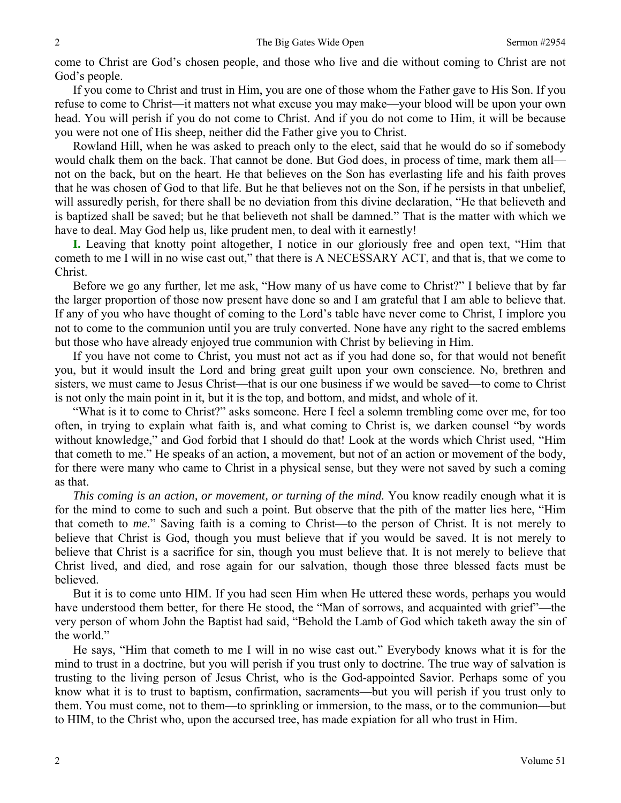come to Christ are God's chosen people, and those who live and die without coming to Christ are not God's people.

 If you come to Christ and trust in Him, you are one of those whom the Father gave to His Son. If you refuse to come to Christ—it matters not what excuse you may make—your blood will be upon your own head. You will perish if you do not come to Christ. And if you do not come to Him, it will be because you were not one of His sheep, neither did the Father give you to Christ.

 Rowland Hill, when he was asked to preach only to the elect, said that he would do so if somebody would chalk them on the back. That cannot be done. But God does, in process of time, mark them all not on the back, but on the heart. He that believes on the Son has everlasting life and his faith proves that he was chosen of God to that life. But he that believes not on the Son, if he persists in that unbelief, will assuredly perish, for there shall be no deviation from this divine declaration, "He that believeth and is baptized shall be saved; but he that believeth not shall be damned." That is the matter with which we have to deal. May God help us, like prudent men, to deal with it earnestly!

**I.** Leaving that knotty point altogether, I notice in our gloriously free and open text, "Him that cometh to me I will in no wise cast out," that there is A NECESSARY ACT, and that is, that we come to Christ.

 Before we go any further, let me ask, "How many of us have come to Christ?" I believe that by far the larger proportion of those now present have done so and I am grateful that I am able to believe that. If any of you who have thought of coming to the Lord's table have never come to Christ, I implore you not to come to the communion until you are truly converted. None have any right to the sacred emblems but those who have already enjoyed true communion with Christ by believing in Him.

 If you have not come to Christ, you must not act as if you had done so, for that would not benefit you, but it would insult the Lord and bring great guilt upon your own conscience. No, brethren and sisters, we must came to Jesus Christ—that is our one business if we would be saved—to come to Christ is not only the main point in it, but it is the top, and bottom, and midst, and whole of it.

 "What is it to come to Christ?" asks someone. Here I feel a solemn trembling come over me, for too often, in trying to explain what faith is, and what coming to Christ is, we darken counsel "by words without knowledge," and God forbid that I should do that! Look at the words which Christ used, "Him that cometh to me." He speaks of an action, a movement, but not of an action or movement of the body, for there were many who came to Christ in a physical sense, but they were not saved by such a coming as that.

*This coming is an action, or movement, or turning of the mind.* You know readily enough what it is for the mind to come to such and such a point. But observe that the pith of the matter lies here, "Him that cometh to *me*." Saving faith is a coming to Christ—to the person of Christ. It is not merely to believe that Christ is God, though you must believe that if you would be saved. It is not merely to believe that Christ is a sacrifice for sin, though you must believe that. It is not merely to believe that Christ lived, and died, and rose again for our salvation, though those three blessed facts must be believed.

 But it is to come unto HIM. If you had seen Him when He uttered these words, perhaps you would have understood them better, for there He stood, the "Man of sorrows, and acquainted with grief"—the very person of whom John the Baptist had said, "Behold the Lamb of God which taketh away the sin of the world."

 He says, "Him that cometh to me I will in no wise cast out." Everybody knows what it is for the mind to trust in a doctrine, but you will perish if you trust only to doctrine. The true way of salvation is trusting to the living person of Jesus Christ, who is the God-appointed Savior. Perhaps some of you know what it is to trust to baptism, confirmation, sacraments—but you will perish if you trust only to them. You must come, not to them—to sprinkling or immersion, to the mass, or to the communion—but to HIM, to the Christ who, upon the accursed tree, has made expiation for all who trust in Him.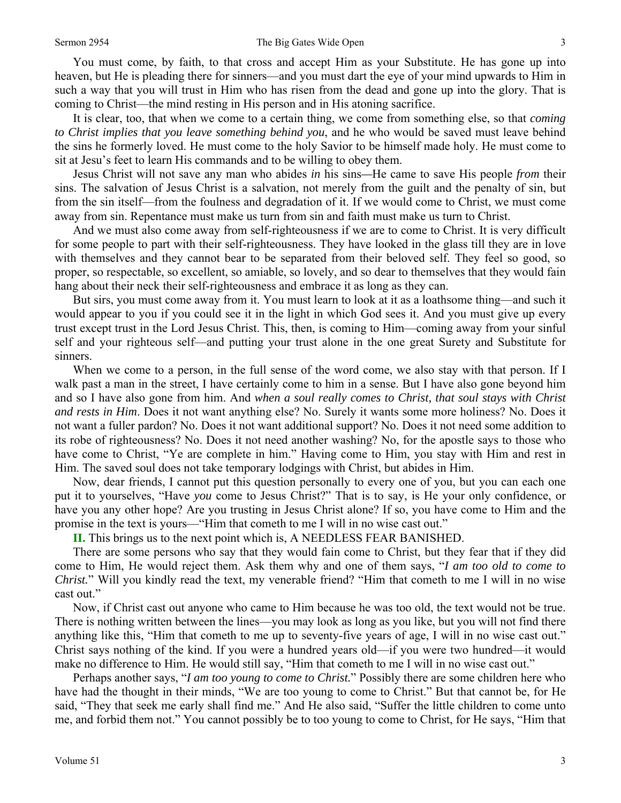#### Sermon 2954 **Sermon 2954** The Big Gates Wide Open 3

 You must come, by faith, to that cross and accept Him as your Substitute. He has gone up into heaven, but He is pleading there for sinners—and you must dart the eye of your mind upwards to Him in such a way that you will trust in Him who has risen from the dead and gone up into the glory. That is coming to Christ—the mind resting in His person and in His atoning sacrifice.

 It is clear, too, that when we come to a certain thing, we come from something else, so that *coming to Christ implies that you leave something behind you*, and he who would be saved must leave behind the sins he formerly loved. He must come to the holy Savior to be himself made holy. He must come to sit at Jesu's feet to learn His commands and to be willing to obey them.

 Jesus Christ will not save any man who abides *in* his sins*—*He came to save His people *from* their sins. The salvation of Jesus Christ is a salvation, not merely from the guilt and the penalty of sin, but from the sin itself—from the foulness and degradation of it. If we would come to Christ, we must come away from sin. Repentance must make us turn from sin and faith must make us turn to Christ.

 And we must also come away from self-righteousness if we are to come to Christ. It is very difficult for some people to part with their self-righteousness. They have looked in the glass till they are in love with themselves and they cannot bear to be separated from their beloved self. They feel so good, so proper, so respectable, so excellent, so amiable, so lovely, and so dear to themselves that they would fain hang about their neck their self-righteousness and embrace it as long as they can.

 But sirs, you must come away from it. You must learn to look at it as a loathsome thing—and such it would appear to you if you could see it in the light in which God sees it. And you must give up every trust except trust in the Lord Jesus Christ. This, then, is coming to Him—coming away from your sinful self and your righteous self—and putting your trust alone in the one great Surety and Substitute for sinners.

When we come to a person, in the full sense of the word come, we also stay with that person. If I walk past a man in the street, I have certainly come to him in a sense. But I have also gone beyond him and so I have also gone from him. And *when a soul really comes to Christ, that soul stays with Christ and rests in Him*. Does it not want anything else? No. Surely it wants some more holiness? No. Does it not want a fuller pardon? No. Does it not want additional support? No. Does it not need some addition to its robe of righteousness? No. Does it not need another washing? No, for the apostle says to those who have come to Christ, "Ye are complete in him." Having come to Him, you stay with Him and rest in Him. The saved soul does not take temporary lodgings with Christ, but abides in Him.

 Now, dear friends, I cannot put this question personally to every one of you, but you can each one put it to yourselves, "Have *you* come to Jesus Christ?" That is to say, is He your only confidence, or have you any other hope? Are you trusting in Jesus Christ alone? If so, you have come to Him and the promise in the text is yours—"Him that cometh to me I will in no wise cast out."

**II.** This brings us to the next point which is, A NEEDLESS FEAR BANISHED.

 There are some persons who say that they would fain come to Christ, but they fear that if they did come to Him, He would reject them. Ask them why and one of them says, "*I am too old to come to Christ.*" Will you kindly read the text, my venerable friend? "Him that cometh to me I will in no wise cast out."

 Now, if Christ cast out anyone who came to Him because he was too old, the text would not be true. There is nothing written between the lines—you may look as long as you like, but you will not find there anything like this, "Him that cometh to me up to seventy-five years of age, I will in no wise cast out." Christ says nothing of the kind. If you were a hundred years old—if you were two hundred—it would make no difference to Him. He would still say, "Him that cometh to me I will in no wise cast out."

 Perhaps another says, "*I am too young to come to Christ.*" Possibly there are some children here who have had the thought in their minds, "We are too young to come to Christ." But that cannot be, for He said, "They that seek me early shall find me." And He also said, "Suffer the little children to come unto me, and forbid them not." You cannot possibly be to too young to come to Christ, for He says, "Him that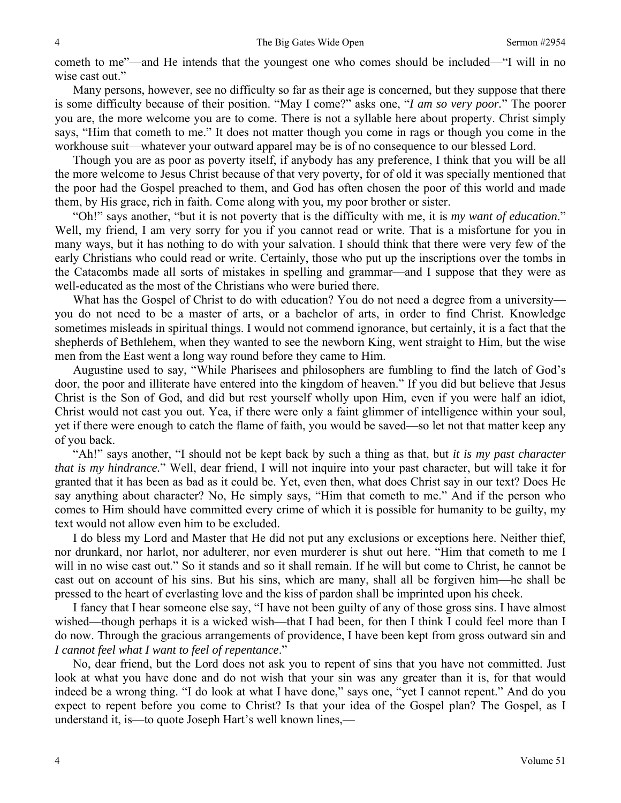cometh to me"—and He intends that the youngest one who comes should be included—"I will in no wise cast out."

 Many persons, however, see no difficulty so far as their age is concerned, but they suppose that there is some difficulty because of their position. "May I come?" asks one, "*I am so very poor.*" The poorer you are, the more welcome you are to come. There is not a syllable here about property. Christ simply says, "Him that cometh to me." It does not matter though you come in rags or though you come in the workhouse suit—whatever your outward apparel may be is of no consequence to our blessed Lord.

 Though you are as poor as poverty itself, if anybody has any preference, I think that you will be all the more welcome to Jesus Christ because of that very poverty, for of old it was specially mentioned that the poor had the Gospel preached to them, and God has often chosen the poor of this world and made them, by His grace, rich in faith. Come along with you, my poor brother or sister.

 "Oh!" says another, "but it is not poverty that is the difficulty with me, it is *my want of education*." Well, my friend, I am very sorry for you if you cannot read or write. That is a misfortune for you in many ways, but it has nothing to do with your salvation. I should think that there were very few of the early Christians who could read or write. Certainly, those who put up the inscriptions over the tombs in the Catacombs made all sorts of mistakes in spelling and grammar—and I suppose that they were as well-educated as the most of the Christians who were buried there.

What has the Gospel of Christ to do with education? You do not need a degree from a university you do not need to be a master of arts, or a bachelor of arts, in order to find Christ. Knowledge sometimes misleads in spiritual things. I would not commend ignorance, but certainly, it is a fact that the shepherds of Bethlehem, when they wanted to see the newborn King, went straight to Him, but the wise men from the East went a long way round before they came to Him.

 Augustine used to say, "While Pharisees and philosophers are fumbling to find the latch of God's door, the poor and illiterate have entered into the kingdom of heaven." If you did but believe that Jesus Christ is the Son of God, and did but rest yourself wholly upon Him, even if you were half an idiot, Christ would not cast you out. Yea, if there were only a faint glimmer of intelligence within your soul, yet if there were enough to catch the flame of faith, you would be saved—so let not that matter keep any of you back.

 "Ah!" says another, "I should not be kept back by such a thing as that, but *it is my past character that is my hindrance.*" Well, dear friend, I will not inquire into your past character, but will take it for granted that it has been as bad as it could be. Yet, even then, what does Christ say in our text? Does He say anything about character? No, He simply says, "Him that cometh to me." And if the person who comes to Him should have committed every crime of which it is possible for humanity to be guilty, my text would not allow even him to be excluded.

 I do bless my Lord and Master that He did not put any exclusions or exceptions here. Neither thief, nor drunkard, nor harlot, nor adulterer, nor even murderer is shut out here. "Him that cometh to me I will in no wise cast out." So it stands and so it shall remain. If he will but come to Christ, he cannot be cast out on account of his sins. But his sins, which are many, shall all be forgiven him—he shall be pressed to the heart of everlasting love and the kiss of pardon shall be imprinted upon his cheek.

 I fancy that I hear someone else say, "I have not been guilty of any of those gross sins. I have almost wished—though perhaps it is a wicked wish—that I had been, for then I think I could feel more than I do now. Through the gracious arrangements of providence, I have been kept from gross outward sin and *I cannot feel what I want to feel of repentance*."

 No, dear friend, but the Lord does not ask you to repent of sins that you have not committed. Just look at what you have done and do not wish that your sin was any greater than it is, for that would indeed be a wrong thing. "I do look at what I have done," says one, "yet I cannot repent." And do you expect to repent before you come to Christ? Is that your idea of the Gospel plan? The Gospel, as I understand it, is—to quote Joseph Hart's well known lines,—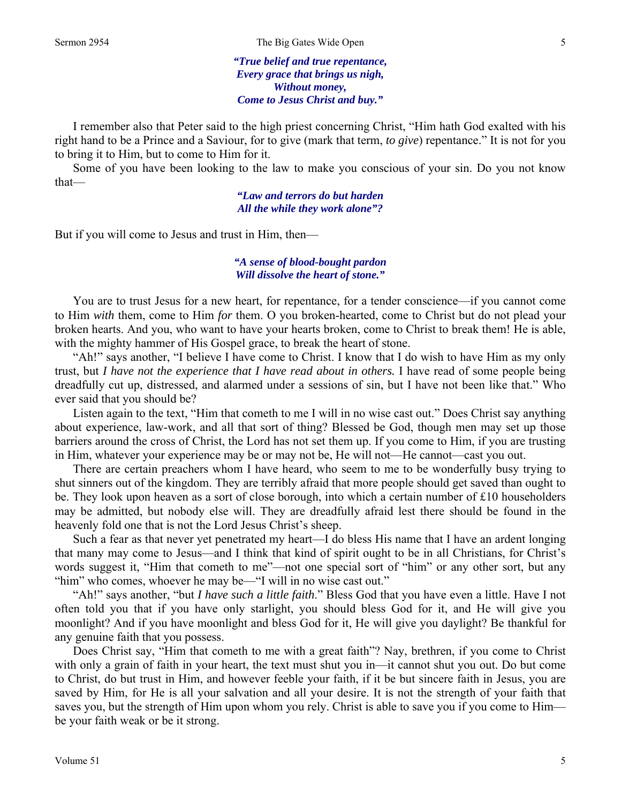*"True belief and true repentance, Every grace that brings us nigh, Without money, Come to Jesus Christ and buy."* 

 I remember also that Peter said to the high priest concerning Christ, "Him hath God exalted with his right hand to be a Prince and a Saviour, for to give (mark that term, *to give*) repentance." It is not for you to bring it to Him, but to come to Him for it.

 Some of you have been looking to the law to make you conscious of your sin. Do you not know that—

> *"Law and terrors do but harden All the while they work alone"?*

But if you will come to Jesus and trust in Him, then—

#### *"A sense of blood-bought pardon Will dissolve the heart of stone."*

 You are to trust Jesus for a new heart, for repentance, for a tender conscience—if you cannot come to Him *with* them, come to Him *for* them. O you broken-hearted, come to Christ but do not plead your broken hearts. And you, who want to have your hearts broken, come to Christ to break them! He is able, with the mighty hammer of His Gospel grace, to break the heart of stone.

 "Ah!" says another, "I believe I have come to Christ. I know that I do wish to have Him as my only trust, but *I have not the experience that I have read about in others.* I have read of some people being dreadfully cut up, distressed, and alarmed under a sessions of sin, but I have not been like that." Who ever said that you should be?

 Listen again to the text, "Him that cometh to me I will in no wise cast out." Does Christ say anything about experience, law-work, and all that sort of thing? Blessed be God, though men may set up those barriers around the cross of Christ, the Lord has not set them up. If you come to Him, if you are trusting in Him, whatever your experience may be or may not be, He will not—He cannot—cast you out.

 There are certain preachers whom I have heard, who seem to me to be wonderfully busy trying to shut sinners out of the kingdom. They are terribly afraid that more people should get saved than ought to be. They look upon heaven as a sort of close borough, into which a certain number of £10 householders may be admitted, but nobody else will. They are dreadfully afraid lest there should be found in the heavenly fold one that is not the Lord Jesus Christ's sheep.

 Such a fear as that never yet penetrated my heart—I do bless His name that I have an ardent longing that many may come to Jesus—and I think that kind of spirit ought to be in all Christians, for Christ's words suggest it, "Him that cometh to me"—not one special sort of "him" or any other sort, but any "him" who comes, whoever he may be—"I will in no wise cast out."

 "Ah!" says another, "but *I have such a little faith*." Bless God that you have even a little. Have I not often told you that if you have only starlight, you should bless God for it, and He will give you moonlight? And if you have moonlight and bless God for it, He will give you daylight? Be thankful for any genuine faith that you possess.

 Does Christ say, "Him that cometh to me with a great faith"? Nay, brethren, if you come to Christ with only a grain of faith in your heart, the text must shut you in—it cannot shut you out. Do but come to Christ, do but trust in Him, and however feeble your faith, if it be but sincere faith in Jesus, you are saved by Him, for He is all your salvation and all your desire. It is not the strength of your faith that saves you, but the strength of Him upon whom you rely. Christ is able to save you if you come to Him be your faith weak or be it strong.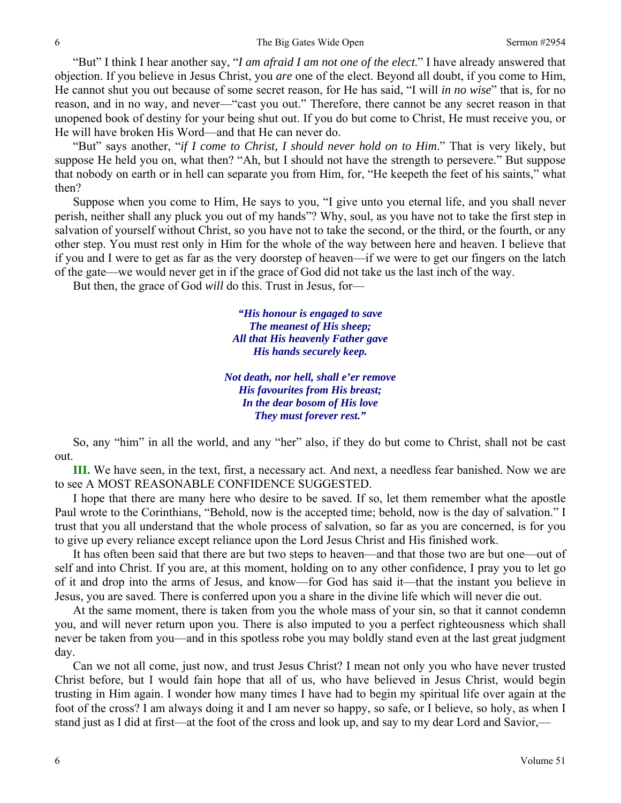"But" I think I hear another say, "*I am afraid I am not one of the elect*." I have already answered that objection. If you believe in Jesus Christ, you *are* one of the elect. Beyond all doubt, if you come to Him, He cannot shut you out because of some secret reason, for He has said, "I will *in no wise*" that is, for no reason, and in no way, and never—"cast you out." Therefore, there cannot be any secret reason in that unopened book of destiny for your being shut out. If you do but come to Christ, He must receive you, or He will have broken His Word—and that He can never do.

 "But" says another, "*if I come to Christ, I should never hold on to Him*." That is very likely, but suppose He held you on, what then? "Ah, but I should not have the strength to persevere." But suppose that nobody on earth or in hell can separate you from Him, for, "He keepeth the feet of his saints," what then?

 Suppose when you come to Him, He says to you, "I give unto you eternal life, and you shall never perish, neither shall any pluck you out of my hands"? Why, soul, as you have not to take the first step in salvation of yourself without Christ, so you have not to take the second, or the third, or the fourth, or any other step. You must rest only in Him for the whole of the way between here and heaven. I believe that if you and I were to get as far as the very doorstep of heaven—if we were to get our fingers on the latch of the gate—we would never get in if the grace of God did not take us the last inch of the way.

But then, the grace of God *will* do this. Trust in Jesus, for—

*"His honour is engaged to save The meanest of His sheep; All that His heavenly Father gave His hands securely keep.* 

*Not death, nor hell, shall e'er remove His favourites from His breast; In the dear bosom of His love They must forever rest."* 

 So, any "him" in all the world, and any "her" also, if they do but come to Christ, shall not be cast out.

**III.** We have seen, in the text, first, a necessary act. And next, a needless fear banished. Now we are to see A MOST REASONABLE CONFIDENCE SUGGESTED.

 I hope that there are many here who desire to be saved. If so, let them remember what the apostle Paul wrote to the Corinthians, "Behold, now is the accepted time; behold, now is the day of salvation." I trust that you all understand that the whole process of salvation, so far as you are concerned, is for you to give up every reliance except reliance upon the Lord Jesus Christ and His finished work.

 It has often been said that there are but two steps to heaven—and that those two are but one—out of self and into Christ. If you are, at this moment, holding on to any other confidence, I pray you to let go of it and drop into the arms of Jesus, and know—for God has said it—that the instant you believe in Jesus, you are saved. There is conferred upon you a share in the divine life which will never die out.

 At the same moment, there is taken from you the whole mass of your sin, so that it cannot condemn you, and will never return upon you. There is also imputed to you a perfect righteousness which shall never be taken from you—and in this spotless robe you may boldly stand even at the last great judgment day.

 Can we not all come, just now, and trust Jesus Christ? I mean not only you who have never trusted Christ before, but I would fain hope that all of us, who have believed in Jesus Christ, would begin trusting in Him again. I wonder how many times I have had to begin my spiritual life over again at the foot of the cross? I am always doing it and I am never so happy, so safe, or I believe, so holy, as when I stand just as I did at first—at the foot of the cross and look up, and say to my dear Lord and Savior,—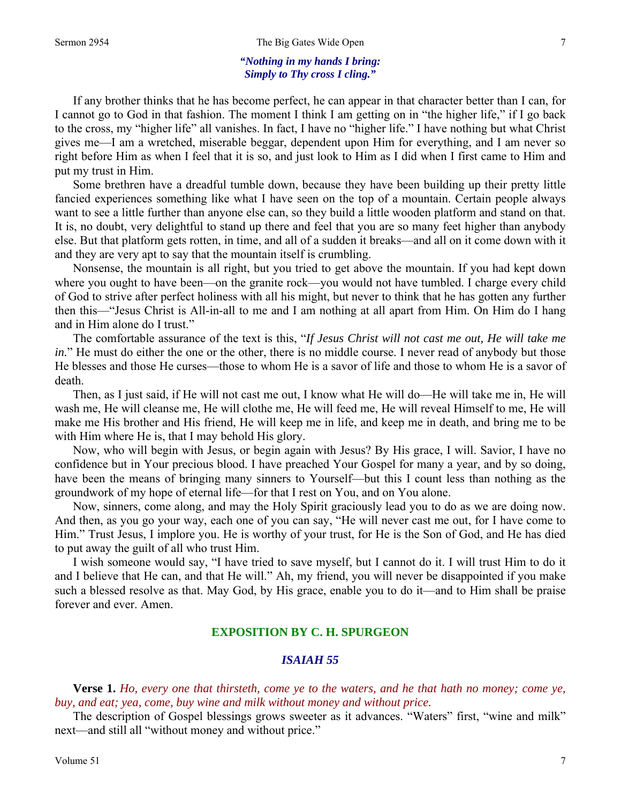#### *"Nothing in my hands I bring: Simply to Thy cross I cling."*

 If any brother thinks that he has become perfect, he can appear in that character better than I can, for I cannot go to God in that fashion. The moment I think I am getting on in "the higher life," if I go back to the cross, my "higher life" all vanishes. In fact, I have no "higher life." I have nothing but what Christ gives me—I am a wretched, miserable beggar, dependent upon Him for everything, and I am never so right before Him as when I feel that it is so, and just look to Him as I did when I first came to Him and put my trust in Him.

 Some brethren have a dreadful tumble down, because they have been building up their pretty little fancied experiences something like what I have seen on the top of a mountain. Certain people always want to see a little further than anyone else can, so they build a little wooden platform and stand on that. It is, no doubt, very delightful to stand up there and feel that you are so many feet higher than anybody else. But that platform gets rotten, in time, and all of a sudden it breaks—and all on it come down with it and they are very apt to say that the mountain itself is crumbling.

 Nonsense, the mountain is all right, but you tried to get above the mountain. If you had kept down where you ought to have been—on the granite rock—you would not have tumbled. I charge every child of God to strive after perfect holiness with all his might, but never to think that he has gotten any further then this—"Jesus Christ is All-in-all to me and I am nothing at all apart from Him. On Him do I hang and in Him alone do I trust."

 The comfortable assurance of the text is this, "*If Jesus Christ will not cast me out, He will take me in.*" He must do either the one or the other, there is no middle course. I never read of anybody but those He blesses and those He curses—those to whom He is a savor of life and those to whom He is a savor of death.

 Then, as I just said, if He will not cast me out, I know what He will do—He will take me in, He will wash me, He will cleanse me, He will clothe me, He will feed me, He will reveal Himself to me, He will make me His brother and His friend, He will keep me in life, and keep me in death, and bring me to be with Him where He is, that I may behold His glory.

 Now, who will begin with Jesus, or begin again with Jesus? By His grace, I will. Savior, I have no confidence but in Your precious blood. I have preached Your Gospel for many a year, and by so doing, have been the means of bringing many sinners to Yourself—but this I count less than nothing as the groundwork of my hope of eternal life—for that I rest on You, and on You alone.

 Now, sinners, come along, and may the Holy Spirit graciously lead you to do as we are doing now. And then, as you go your way, each one of you can say, "He will never cast me out, for I have come to Him." Trust Jesus, I implore you. He is worthy of your trust, for He is the Son of God, and He has died to put away the guilt of all who trust Him.

 I wish someone would say, "I have tried to save myself, but I cannot do it. I will trust Him to do it and I believe that He can, and that He will." Ah, my friend, you will never be disappointed if you make such a blessed resolve as that. May God, by His grace, enable you to do it—and to Him shall be praise forever and ever. Amen.

### **EXPOSITION BY C. H. SPURGEON**

### *ISAIAH 55*

**Verse 1.** *Ho, every one that thirsteth, come ye to the waters, and he that hath no money; come ye, buy, and eat; yea, come, buy wine and milk without money and without price.* 

The description of Gospel blessings grows sweeter as it advances. "Waters" first, "wine and milk" next—and still all "without money and without price."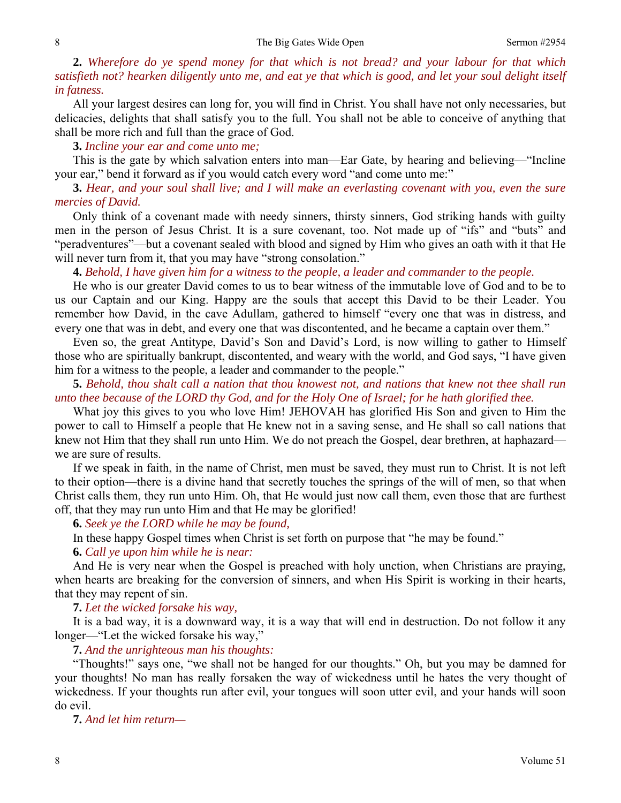**2.** *Wherefore do ye spend money for that which is not bread? and your labour for that which satisfieth not? hearken diligently unto me, and eat ye that which is good, and let your soul delight itself in fatness.* 

All your largest desires can long for, you will find in Christ. You shall have not only necessaries, but delicacies, delights that shall satisfy you to the full. You shall not be able to conceive of anything that shall be more rich and full than the grace of God.

**3.** *Incline your ear and come unto me;* 

This is the gate by which salvation enters into man—Ear Gate, by hearing and believing—"Incline your ear," bend it forward as if you would catch every word "and come unto me:"

**3.** *Hear, and your soul shall live; and I will make an everlasting covenant with you, even the sure mercies of David.* 

Only think of a covenant made with needy sinners, thirsty sinners, God striking hands with guilty men in the person of Jesus Christ. It is a sure covenant, too. Not made up of "ifs" and "buts" and "peradventures"—but a covenant sealed with blood and signed by Him who gives an oath with it that He will never turn from it, that you may have "strong consolation."

**4.** *Behold, I have given him for a witness to the people, a leader and commander to the people.* 

He who is our greater David comes to us to bear witness of the immutable love of God and to be to us our Captain and our King. Happy are the souls that accept this David to be their Leader. You remember how David, in the cave Adullam, gathered to himself "every one that was in distress, and every one that was in debt, and every one that was discontented, and he became a captain over them."

 Even so, the great Antitype, David's Son and David's Lord, is now willing to gather to Himself those who are spiritually bankrupt, discontented, and weary with the world, and God says, "I have given him for a witness to the people, a leader and commander to the people."

**5.** *Behold, thou shalt call a nation that thou knowest not, and nations that knew not thee shall run unto thee because of the LORD thy God, and for the Holy One of Israel; for he hath glorified thee.* 

What joy this gives to you who love Him! JEHOVAH has glorified His Son and given to Him the power to call to Himself a people that He knew not in a saving sense, and He shall so call nations that knew not Him that they shall run unto Him. We do not preach the Gospel, dear brethren, at haphazard we are sure of results.

 If we speak in faith, in the name of Christ, men must be saved, they must run to Christ. It is not left to their option—there is a divine hand that secretly touches the springs of the will of men, so that when Christ calls them, they run unto Him. Oh, that He would just now call them, even those that are furthest off, that they may run unto Him and that He may be glorified!

**6.** *Seek ye the LORD while he may be found,*

In these happy Gospel times when Christ is set forth on purpose that "he may be found."

**6.** *Call ye upon him while he is near:* 

And He is very near when the Gospel is preached with holy unction, when Christians are praying, when hearts are breaking for the conversion of sinners, and when His Spirit is working in their hearts, that they may repent of sin.

**7.** *Let the wicked forsake his way,* 

It is a bad way, it is a downward way, it is a way that will end in destruction. Do not follow it any longer—"Let the wicked forsake his way,"

**7.** *And the unrighteous man his thoughts:* 

"Thoughts!" says one, "we shall not be hanged for our thoughts." Oh, but you may be damned for your thoughts! No man has really forsaken the way of wickedness until he hates the very thought of wickedness. If your thoughts run after evil, your tongues will soon utter evil, and your hands will soon do evil.

**7.** *And let him return—*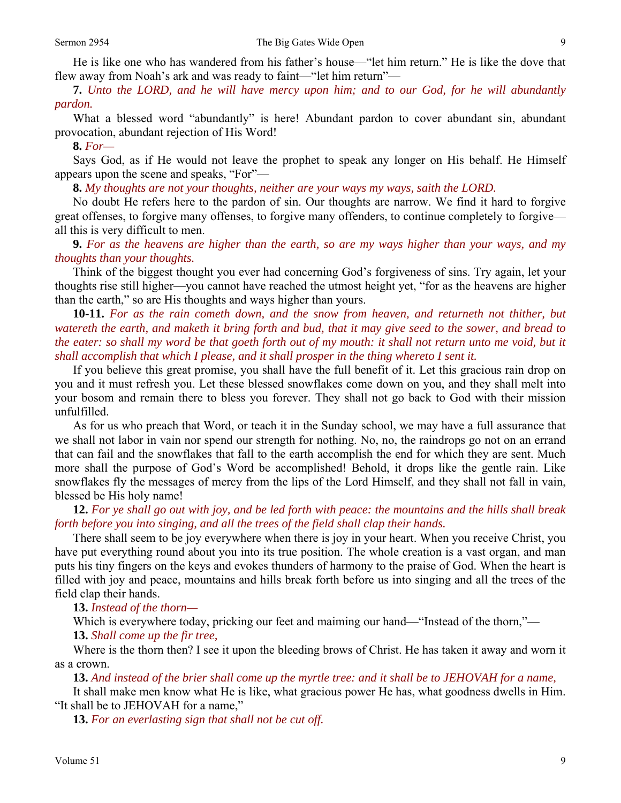**7.** *Unto the LORD, and he will have mercy upon him; and to our God, for he will abundantly pardon.* 

What a blessed word "abundantly" is here! Abundant pardon to cover abundant sin, abundant provocation, abundant rejection of His Word!

**8.** *For—* 

Says God, as if He would not leave the prophet to speak any longer on His behalf. He Himself appears upon the scene and speaks, "For"—

**8.** *My thoughts are not your thoughts, neither are your ways my ways, saith the LORD.* 

No doubt He refers here to the pardon of sin. Our thoughts are narrow. We find it hard to forgive great offenses, to forgive many offenses, to forgive many offenders, to continue completely to forgive all this is very difficult to men.

**9.** *For as the heavens are higher than the earth, so are my ways higher than your ways, and my thoughts than your thoughts.* 

Think of the biggest thought you ever had concerning God's forgiveness of sins. Try again, let your thoughts rise still higher—you cannot have reached the utmost height yet, "for as the heavens are higher than the earth," so are His thoughts and ways higher than yours.

**10-11.** *For as the rain cometh down, and the snow from heaven, and returneth not thither, but watereth the earth, and maketh it bring forth and bud, that it may give seed to the sower, and bread to the eater: so shall my word be that goeth forth out of my mouth: it shall not return unto me void, but it shall accomplish that which I please, and it shall prosper in the thing whereto I sent it.* 

If you believe this great promise, you shall have the full benefit of it. Let this gracious rain drop on you and it must refresh you. Let these blessed snowflakes come down on you, and they shall melt into your bosom and remain there to bless you forever. They shall not go back to God with their mission unfulfilled.

 As for us who preach that Word, or teach it in the Sunday school, we may have a full assurance that we shall not labor in vain nor spend our strength for nothing. No, no, the raindrops go not on an errand that can fail and the snowflakes that fall to the earth accomplish the end for which they are sent. Much more shall the purpose of God's Word be accomplished! Behold, it drops like the gentle rain. Like snowflakes fly the messages of mercy from the lips of the Lord Himself, and they shall not fall in vain, blessed be His holy name!

**12.** *For ye shall go out with joy, and be led forth with peace: the mountains and the hills shall break forth before you into singing, and all the trees of the field shall clap their hands.* 

There shall seem to be joy everywhere when there is joy in your heart. When you receive Christ, you have put everything round about you into its true position. The whole creation is a vast organ, and man puts his tiny fingers on the keys and evokes thunders of harmony to the praise of God. When the heart is filled with joy and peace, mountains and hills break forth before us into singing and all the trees of the field clap their hands.

**13.** *Instead of the thorn—* 

Which is everywhere today, pricking our feet and maiming our hand—"Instead of the thorn,"—

**13.** *Shall come up the fir tree,* 

Where is the thorn then? I see it upon the bleeding brows of Christ. He has taken it away and worn it as a crown.

**13.** *And instead of the brier shall come up the myrtle tree: and it shall be to JEHOVAH for a name,* 

It shall make men know what He is like, what gracious power He has, what goodness dwells in Him. "It shall be to JEHOVAH for a name,"

**13.** *For an everlasting sign that shall not be cut off.*